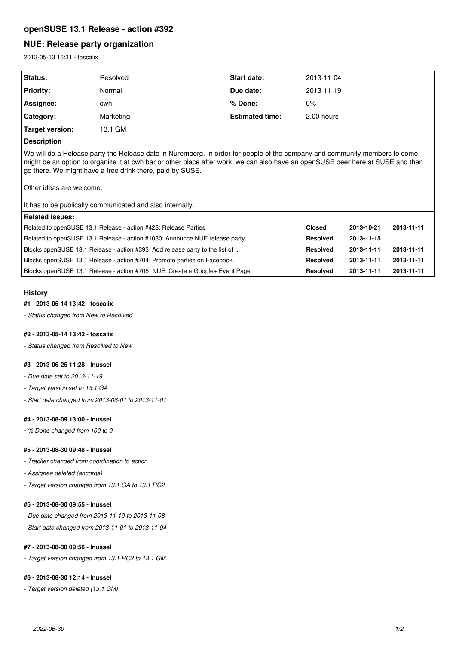# **openSUSE 13.1 Release - action #392**

# **NUE: Release party organization**

2013-05-13 16:31 - toscalix

| <b>Status:</b>   | Resolved  | <b>Start date:</b>     | 2013-11-04 |
|------------------|-----------|------------------------|------------|
| <b>Priority:</b> | Normal    | Due date:              | 2013-11-19 |
| Assignee:        | cwh       | l% Done:               | $0\%$      |
| Category:        | Marketing | <b>Estimated time:</b> | 2.00 hours |
| Target version:  | 13.1 GM   |                        |            |

# **Description**

We will do a Release party the Release date in Nuremberg. In order for people of the company and community members to come, might be an option to organize it at cwh bar or other place after work. we can also have an openSUSE beer here at SUSE and then go there. We might have a free drink there, paid by SUSE.

Other ideas are welcome.

It has to be publically communicated and also internally.

| Related issues:                                                              |                 |            |            |
|------------------------------------------------------------------------------|-----------------|------------|------------|
| Related to openSUSE 13.1 Release - action #428: Release Parties              | <b>Closed</b>   | 2013-10-21 | 2013-11-11 |
| Related to openSUSE 13.1 Release - action #1080: Announce NUE release party  | <b>Resolved</b> | 2013-11-15 |            |
| Blocks openSUSE 13.1 Release - action #393: Add release party to the list of | <b>Resolved</b> | 2013-11-11 | 2013-11-11 |
| Blocks openSUSE 13.1 Release - action #704: Promote parties on Facebook      | <b>Resolved</b> | 2013-11-11 | 2013-11-11 |
| Blocks openSUSE 13.1 Release - action #705: NUE: Create a Google+ Event Page | <b>Resolved</b> | 2013-11-11 | 2013-11-11 |

# **History**

#### **#1 - 2013-05-14 13:42 - toscalix**

*- Status changed from New to Resolved*

# **#2 - 2013-05-14 13:42 - toscalix**

*- Status changed from Resolved to New*

# **#3 - 2013-06-25 11:28 - lnussel**

- *Due date set to 2013-11-19*
- *Target version set to 13.1 GA*
- *Start date changed from 2013-08-01 to 2013-11-01*

#### **#4 - 2013-08-09 13:00 - lnussel**

*- % Done changed from 100 to 0*

## **#5 - 2013-08-30 09:48 - lnussel**

- *Tracker changed from coordination to action*
- *Assignee deleted (ancorgs)*
- *Target version changed from 13.1 GA to 13.1 RC2*

### **#6 - 2013-08-30 09:55 - lnussel**

- *Due date changed from 2013-11-19 to 2013-11-08*
- *Start date changed from 2013-11-01 to 2013-11-04*

# **#7 - 2013-08-30 09:56 - lnussel**

*- Target version changed from 13.1 RC2 to 13.1 GM*

# **#8 - 2013-08-30 12:14 - lnussel**

*- Target version deleted (13.1 GM)*